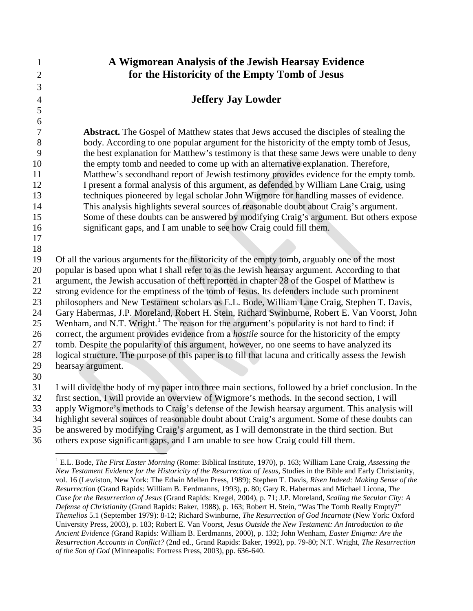**A Wigmorean Analysis of the Jewish Hearsay Evidence for the Historicity of the Empty Tomb of Jesus Jeffery Jay Lowder Abstract.** The Gospel of Matthew states that Jews accused the disciples of stealing the body. According to one popular argument for the historicity of the empty tomb of Jesus, the best explanation for Matthew's testimony is that these same Jews were unable to deny the empty tomb and needed to come up with an alternative explanation. Therefore, Matthew's secondhand report of Jewish testimony provides evidence for the empty tomb. I present a formal analysis of this argument, as defended by William Lane Craig, using techniques pioneered by legal scholar John Wigmore for handling masses of evidence. This analysis highlights several sources of reasonable doubt about Craig's argument. Some of these doubts can be answered by modifying Craig's argument. But others expose significant gaps, and I am unable to see how Craig could fill them. Of all the various arguments for the historicity of the empty tomb, arguably one of the most

 popular is based upon what I shall refer to as the Jewish hearsay argument. According to that argument, the Jewish accusation of theft reported in chapter 28 of the Gospel of Matthew is strong evidence for the emptiness of the tomb of Jesus. Its defenders include such prominent

 philosophers and New Testament scholars as E.L. Bode, William Lane Craig, Stephen T. Davis, Gary Habermas, J.P. Moreland, Robert H. Stein, Richard Swinburne, Robert E. Van Voorst, John

25 Wenham, and N.T. Wright.<sup>[1](#page-10-0)</sup> The reason for the argument's popularity is not hard to find: if

correct, the argument provides evidence from a *hostile* source for the historicity of the empty

tomb. Despite the popularity of this argument, however, no one seems to have analyzed its

 logical structure. The purpose of this paper is to fill that lacuna and critically assess the Jewish hearsay argument.

 

 

I will divide the body of my paper into three main sections, followed by a brief conclusion. In the

first section, I will provide an overview of Wigmore's methods. In the second section, I will

apply Wigmore's methods to Craig's defense of the Jewish hearsay argument. This analysis will

 highlight several sources of reasonable doubt about Craig's argument. Some of these doubts can be answered by modifying Craig's argument, as I will demonstrate in the third section. But

others expose significant gaps, and I am unable to see how Craig could fill them.

 E.L. Bode, *The First Easter Morning* (Rome: Biblical Institute, 1970), p. 163; William Lane Craig, *Assessing the New Testament Evidence for the Historicity of the Resurrection of Jesus*, Studies in the Bible and Early Christianity, vol. 16 (Lewiston, New York: The Edwin Mellen Press, 1989); Stephen T. Davis, *Risen Indeed: Making Sense of the Resurrection* (Grand Rapids: William B. Eerdmanns, 1993), p. 80; Gary R. Habermas and Michael Licona, *The Case for the Resurrection of Jesus* (Grand Rapids: Kregel, 2004), p. 71; J.P. Moreland, *Scaling the Secular City: A Defense of Christianity* (Grand Rapids: Baker, 1988), p. 163; Robert H. Stein, "Was The Tomb Really Empty?" *Themelios* 5.1 (September 1979): 8-12; Richard Swinburne, *The Resurrection of God Incarnate* (New York: Oxford University Press, 2003), p. 183; Robert E. Van Voorst, *Jesus Outside the New Testament: An Introduction to the Ancient Evidence* (Grand Rapids: William B. Eerdmanns, 2000), p. 132; John Wenham, *Easter Enigma: Are the Resurrection Accounts in Conflict?* (2nd ed., Grand Rapids: Baker, 1992), pp. 79-80; N.T. Wright, *The Resurrection of the Son of God* (Minneapolis: Fortress Press, 2003), pp. 636-640.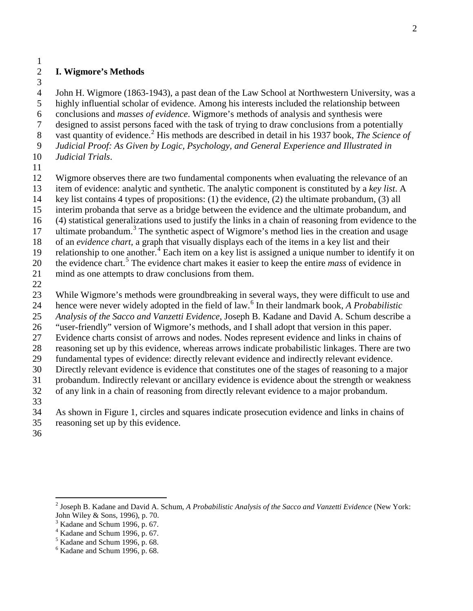#### **I. Wigmore's Methods**

John H. Wigmore (1863-1943), a past dean of the Law School at Northwestern University, was a

highly influential scholar of evidence. Among his interests included the relationship between

conclusions and *masses of evidence*. Wigmore's methods of analysis and synthesis were

designed to assist persons faced with the task of trying to draw conclusions from a potentially

- vast quantity of evidence.[2](#page-1-0) His methods are described in detail in his 1937 book, *The Science of*
- *Judicial Proof: As Given by Logic, Psychology, and General Experience and Illustrated in Judicial Trials*.
- 
- Wigmore observes there are two fundamental components when evaluating the relevance of an
- item of evidence: analytic and synthetic. The analytic component is constituted by a *key list*. A
- key list contains 4 types of propositions: (1) the evidence, (2) the ultimate probandum, (3) all
- interim probanda that serve as a bridge between the evidence and the ultimate probandum, and
- (4) statistical generalizations used to justify the links in a chain of reasoning from evidence to the
- 17 ultimate probandum.<sup>[3](#page-1-1)</sup> The synthetic aspect of Wigmore's method lies in the creation and usage
- of an *evidence chart,* a graph that visually displays each of the items in a key list and their
- 19 relationship to one another.<sup>[4](#page-1-2)</sup> Each item on a key list is assigned a unique number to identify it on
- 20 the evidence chart.<sup>[5](#page-1-3)</sup> The evidence chart makes it easier to keep the entire *mass* of evidence in
- mind as one attempts to draw conclusions from them.
- 

While Wigmore's methods were groundbreaking in several ways, they were difficult to use and

- hence were never widely adopted in the field of law.[6](#page-1-4) In their landmark book, *A Probabilistic*
- *Analysis of the Sacco and Vanzetti Evidence*, Joseph B. Kadane and David A. Schum describe a
- "user-friendly" version of Wigmore's methods, and I shall adopt that version in this paper. Evidence charts consist of arrows and nodes. Nodes represent evidence and links in chains of
- reasoning set up by this evidence, whereas arrows indicate probabilistic linkages. There are two
- fundamental types of evidence: directly relevant evidence and indirectly relevant evidence.
- Directly relevant evidence is evidence that constitutes one of the stages of reasoning to a major
- probandum. Indirectly relevant or ancillary evidence is evidence about the strength or weakness
- of any link in a chain of reasoning from directly relevant evidence to a major probandum.
- 
- As shown in Figure 1, circles and squares indicate prosecution evidence and links in chains of
- reasoning set up by this evidence.
- 

<span id="page-1-0"></span> Joseph B. Kadane and David A. Schum, *A Probabilistic Analysis of the Sacco and Vanzetti Evidence* (New York: John Wiley & Sons, 1996), p. 70.

<span id="page-1-1"></span>Kadane and Schum 1996, p. 67.

<span id="page-1-2"></span>Kadane and Schum 1996, p. 67.

<span id="page-1-3"></span> $<sup>5</sup>$  Kadane and Schum 1996, p. 68.</sup>

<span id="page-1-4"></span> $<sup>6</sup>$  Kadane and Schum 1996, p. 68.</sup>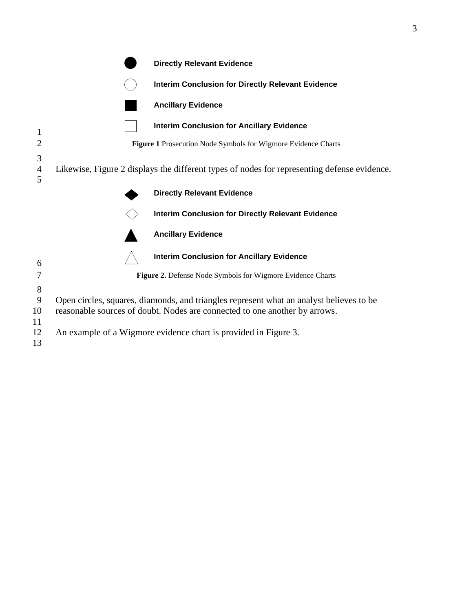|                          |                                                                                                                                                                                                                                          | <b>Directly Relevant Evidence</b>                          |
|--------------------------|------------------------------------------------------------------------------------------------------------------------------------------------------------------------------------------------------------------------------------------|------------------------------------------------------------|
|                          |                                                                                                                                                                                                                                          | <b>Interim Conclusion for Directly Relevant Evidence</b>   |
|                          |                                                                                                                                                                                                                                          | <b>Ancillary Evidence</b>                                  |
| 1                        |                                                                                                                                                                                                                                          | <b>Interim Conclusion for Ancillary Evidence</b>           |
| $\overline{2}$           | Figure 1 Prosecution Node Symbols for Wigmore Evidence Charts<br>Likewise, Figure 2 displays the different types of nodes for representing defense evidence.                                                                             |                                                            |
| 3<br>$\overline{4}$<br>5 |                                                                                                                                                                                                                                          |                                                            |
|                          |                                                                                                                                                                                                                                          | <b>Directly Relevant Evidence</b>                          |
|                          |                                                                                                                                                                                                                                          | <b>Interim Conclusion for Directly Relevant Evidence</b>   |
|                          |                                                                                                                                                                                                                                          | <b>Ancillary Evidence</b>                                  |
| 6                        |                                                                                                                                                                                                                                          | <b>Interim Conclusion for Ancillary Evidence</b>           |
| 7                        |                                                                                                                                                                                                                                          | Figure 2. Defense Node Symbols for Wigmore Evidence Charts |
| 8<br>9<br>10<br>11<br>12 | Open circles, squares, diamonds, and triangles represent what an analyst believes to be<br>reasonable sources of doubt. Nodes are connected to one another by arrows.<br>An example of a Wigmore evidence chart is provided in Figure 3. |                                                            |
| 13                       |                                                                                                                                                                                                                                          |                                                            |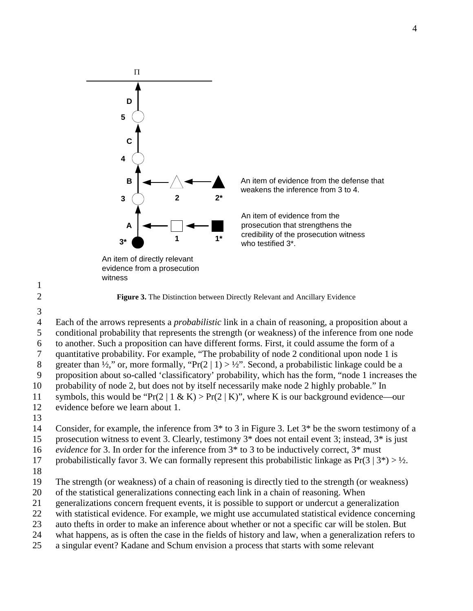

evidence from a prosecution witness

An item of evidence from the defense that weakens the inference from 3 to 4.

An item of evidence from the prosecution that strengthens the credibility of the prosecution witness who testified 3\*.

3

1

2 **Figure 3.** The Distinction between Directly Relevant and Ancillary Evidence

 Each of the arrows represents a *probabilistic* link in a chain of reasoning, a proposition about a conditional probability that represents the strength (or weakness) of the inference from one node to another. Such a proposition can have different forms. First, it could assume the form of a quantitative probability. For example, "The probability of node 2 conditional upon node 1 is 8 greater than  $\frac{1}{2}$ ," or, more formally, "Pr(2 | 1) >  $\frac{1}{2}$ ". Second, a probabilistic linkage could be a proposition about so-called 'classificatory' probability, which has the form, "node 1 increases the probability of node 2, but does not by itself necessarily make node 2 highly probable." In 11 symbols, this would be "Pr(2 | 1 & K) > Pr(2 | K)", where K is our background evidence—our evidence before we learn about 1.

13

14 Consider, for example, the inference from 3\* to 3 in Figure 3. Let 3\* be the sworn testimony of a

15 prosecution witness to event 3. Clearly, testimony 3\* does not entail event 3; instead, 3\* is just

16 *evidence* for 3. In order for the inference from 3\* to 3 to be inductively correct, 3\* must

17 probabilistically favor 3. We can formally represent this probabilistic linkage as  $Pr(3 | 3^*) > \frac{1}{2}$ .

18

19 The strength (or weakness) of a chain of reasoning is directly tied to the strength (or weakness)

20 of the statistical generalizations connecting each link in a chain of reasoning. When

21 generalizations concern frequent events, it is possible to support or undercut a generalization

22 with statistical evidence. For example, we might use accumulated statistical evidence concerning

23 auto thefts in order to make an inference about whether or not a specific car will be stolen. But

24 what happens, as is often the case in the fields of history and law, when a generalization refers to

25 a singular event? Kadane and Schum envision a process that starts with some relevant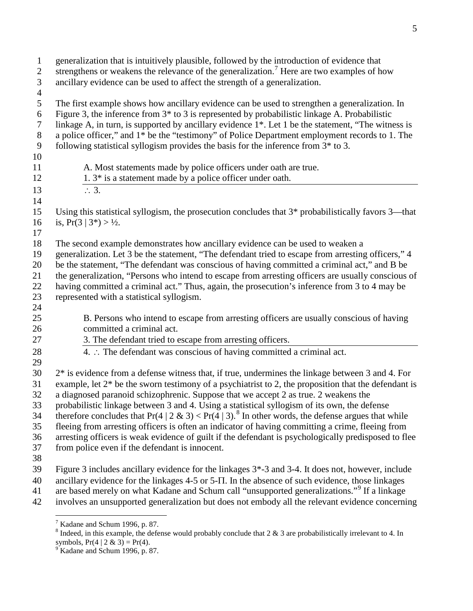generalization that is intuitively plausible, followed by the introduction of evidence that 2 strengthens or weakens the relevance of the generalization.<sup>[7](#page-4-0)</sup> Here are two examples of how ancillary evidence can be used to affect the strength of a generalization. The first example shows how ancillary evidence can be used to strengthen a generalization. In Figure 3, the inference from 3\* to 3 is represented by probabilistic linkage A. Probabilistic linkage A, in turn, is supported by ancillary evidence 1\*. Let 1 be the statement, "The witness is a police officer," and 1\* be the "testimony" of Police Department employment records to 1. The following statistical syllogism provides the basis for the inference from 3\* to 3. A. Most statements made by police officers under oath are true. 12 1. 3\* is a statement made by a police officer under oath. 13 ∴ 3. Using this statistical syllogism, the prosecution concludes that 3\* probabilistically favors 3—that 16 is,  $Pr(3 | 3^*) > \frac{1}{2}$ . The second example demonstrates how ancillary evidence can be used to weaken a generalization. Let 3 be the statement, "The defendant tried to escape from arresting officers," 4 be the statement, "The defendant was conscious of having committed a criminal act," and B be the generalization, "Persons who intend to escape from arresting officers are usually conscious of having committed a criminal act." Thus, again, the prosecution's inference from 3 to 4 may be represented with a statistical syllogism. B. Persons who intend to escape from arresting officers are usually conscious of having committed a criminal act. 3. The defendant tried to escape from arresting officers. 4. ∴ The defendant was conscious of having committed a criminal act. 2\* is evidence from a defense witness that, if true, undermines the linkage between 3 and 4. For 31 example, let  $2^*$  be the sworn testimony of a psychiatrist to 2, the proposition that the defendant is a diagnosed paranoid schizophrenic. Suppose that we accept 2 as true. 2 weakens the probabilistic linkage between 3 and 4. Using a statistical syllogism of its own, the defense therefore concludes that  $Pr(4 \mid 2 \& 3) < Pr(4 \mid 3)$ .<sup>[8](#page-4-1)</sup> In other words, the defense argues that while fleeing from arresting officers is often an indicator of having committing a crime, fleeing from arresting officers is weak evidence of guilt if the defendant is psychologically predisposed to flee from police even if the defendant is innocent. Figure 3 includes ancillary evidence for the linkages 3\*-3 and 3-4. It does not, however, include ancillary evidence for the linkages 4-5 or 5-Π. In the absence of such evidence, those linkages 41 are based merely on what Kadane and Schum call "unsupported generalizations."<sup>[9](#page-4-2)</sup> If a linkage involves an unsupported generalization but does not embody all the relevant evidence concerning

<span id="page-4-1"></span><span id="page-4-0"></span> $<sup>7</sup>$  Kadane and Schum 1996, p. 87.</sup>

 Indeed, in this example, the defense would probably conclude that 2  $\&$  3 are probabilistically irrelevant to 4. In symbols,  $Pr(4 | 2 \& 3) = Pr(4)$ .

<span id="page-4-2"></span> $9^9$  Kadane and Schum 1996, p. 87.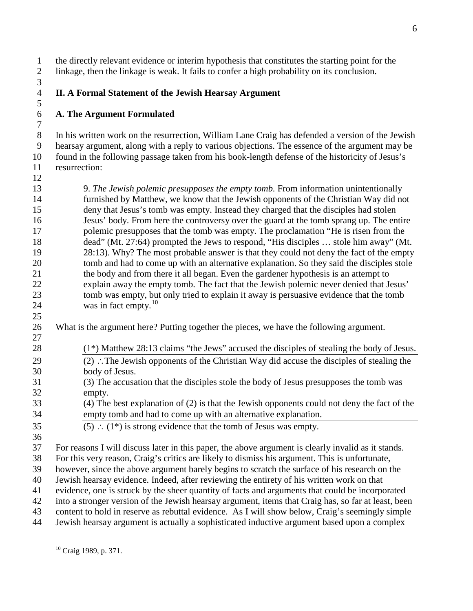the directly relevant evidence or interim hypothesis that constitutes the starting point for the linkage, then the linkage is weak. It fails to confer a high probability on its conclusion. 

#### **II. A Formal Statement of the Jewish Hearsay Argument**

# **A. The Argument Formulated**

 In his written work on the resurrection, William Lane Craig has defended a version of the Jewish hearsay argument, along with a reply to various objections. The essence of the argument may be found in the following passage taken from his book-length defense of the historicity of Jesus's resurrection:

 9. *The Jewish polemic presupposes the empty tomb.* From information unintentionally furnished by Matthew, we know that the Jewish opponents of the Christian Way did not deny that Jesus's tomb was empty. Instead they charged that the disciples had stolen Jesus' body. From here the controversy over the guard at the tomb sprang up. The entire polemic presupposes that the tomb was empty. The proclamation "He is risen from the dead" (Mt. 27:64) prompted the Jews to respond, "His disciples … stole him away" (Mt. 28:13). Why? The most probable answer is that they could not deny the fact of the empty tomb and had to come up with an alternative explanation. So they said the disciples stole the body and from there it all began. Even the gardener hypothesis is an attempt to explain away the empty tomb. The fact that the Jewish polemic never denied that Jesus' tomb was empty, but only tried to explain it away is persuasive evidence that the tomb 24 was in fact empty.<sup>[10](#page-5-0)</sup> 

What is the argument here? Putting together the pieces, we have the following argument.

- (1\*) Matthew 28:13 claims "the Jews" accused the disciples of stealing the body of Jesus.
- (2) ∴The Jewish opponents of the Christian Way did accuse the disciples of stealing the body of Jesus.
- (3) The accusation that the disciples stole the body of Jesus presupposes the tomb was empty.

 (4) The best explanation of (2) is that the Jewish opponents could not deny the fact of the empty tomb and had to come up with an alternative explanation.

- 35 (5) ∴  $(1^*)$  is strong evidence that the tomb of Jesus was empty.
- 

For reasons I will discuss later in this paper, the above argument is clearly invalid as it stands.

For this very reason, Craig's critics are likely to dismiss his argument. This is unfortunate,

however, since the above argument barely begins to scratch the surface of his research on the

Jewish hearsay evidence. Indeed, after reviewing the entirety of his written work on that

evidence, one is struck by the sheer quantity of facts and arguments that could be incorporated

into a stronger version of the Jewish hearsay argument, items that Craig has, so far at least, been

content to hold in reserve as rebuttal evidence. As I will show below, Craig's seemingly simple

<span id="page-5-0"></span>Jewish hearsay argument is actually a sophisticated inductive argument based upon a complex

Craig 1989, p. 371.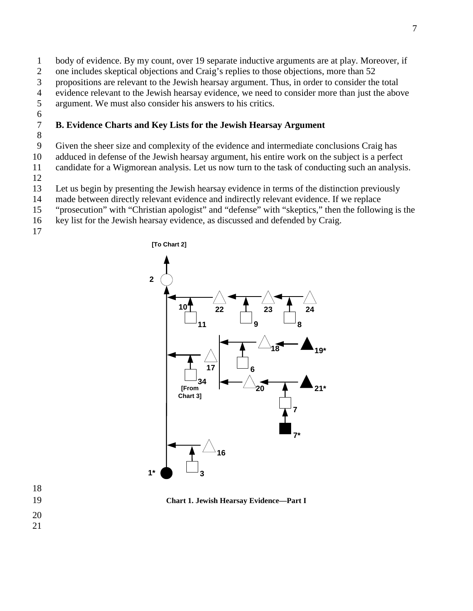- body of evidence. By my count, over 19 separate inductive arguments are at play. Moreover, if
- one includes skeptical objections and Craig's replies to those objections, more than 52
- propositions are relevant to the Jewish hearsay argument. Thus, in order to consider the total
- 4 evidence relevant to the Jewish hearsay evidence, we need to consider more than just the above argument. We must also consider his answers to his critics.
- argument. We must also consider his answers to his critics.
- 

## **B. Evidence Charts and Key Lists for the Jewish Hearsay Argument**

Given the sheer size and complexity of the evidence and intermediate conclusions Craig has

adduced in defense of the Jewish hearsay argument, his entire work on the subject is a perfect

candidate for a Wigmorean analysis. Let us now turn to the task of conducting such an analysis.

Let us begin by presenting the Jewish hearsay evidence in terms of the distinction previously

- made between directly relevant evidence and indirectly relevant evidence. If we replace
- "prosecution" with "Christian apologist" and "defense" with "skeptics," then the following is the

key list for the Jewish hearsay evidence, as discussed and defended by Craig.



**Chart 1. Jewish Hearsay Evidence—Part I**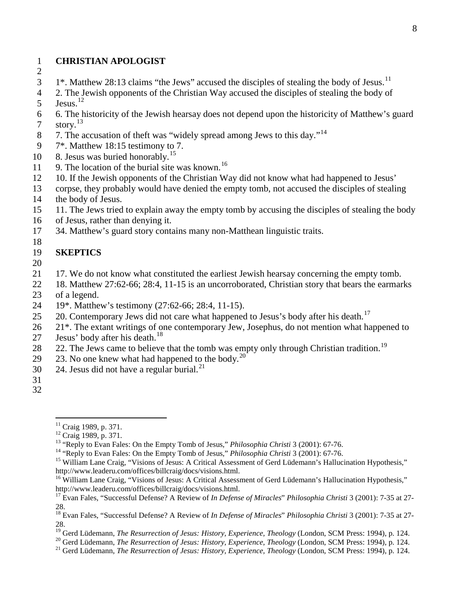#### 1 **CHRISTIAN APOLOGIST**

- 2
- $1^*$ . Matthew 28:13 claims "the Jews" accused the disciples of stealing the body of Jesus.<sup>[11](#page-7-0)</sup>
- 4 2. The Jewish opponents of the Christian Way accused the disciples of stealing the body of  $5 \text{ Jesus.}^{12}$  $5 \text{ Jesus.}^{12}$  $5 \text{ Jesus.}^{12}$
- 
- 6 6. The historicity of the Jewish hearsay does not depend upon the historicity of Matthew's guard 7 story.<sup>[13](#page-7-2)</sup>
- 8 7. The accusation of theft was "widely spread among Jews to this day."<sup>[14](#page-7-3)</sup>
- 9 7\*. Matthew 18:15 testimony to 7.
- 10 8. Jesus was buried honorably.<sup>[15](#page-7-4)</sup>
- 11 9. The location of the burial site was known.<sup>[16](#page-7-5)</sup>
- 12 10. If the Jewish opponents of the Christian Way did not know what had happened to Jesus'
- 13 corpse, they probably would have denied the empty tomb, not accused the disciples of stealing 14 the body of Jesus.
- 15 11. The Jews tried to explain away the empty tomb by accusing the disciples of stealing the body
- 16 of Jesus, rather than denying it.
- 17 34. Matthew's guard story contains many non-Matthean linguistic traits.

#### 19 **SKEPTICS**

20

- 21 17. We do not know what constituted the earliest Jewish hearsay concerning the empty tomb.
- 22 18. Matthew 27:62-66; 28:4, 11-15 is an uncorroborated, Christian story that bears the earmarks 23 of a legend.
- 24 19\*. Matthew's testimony (27:62-66; 28:4, 11-15).
- 25 20. Contemporary Jews did not care what happened to Jesus's body after his death.<sup>[17](#page-7-6)</sup>
- 26 21<sup>\*</sup>. The extant writings of one contemporary Jew, Josephus, do not mention what happened to
- 27 Jesus' body after his death. $^{18}$  $^{18}$  $^{18}$
- 22. The Jews came to believe that the tomb was empty only through Christian tradition.<sup>[19](#page-7-8)</sup>
- 29  $\,$  23. No one knew what had happened to the body.<sup>[20](#page-7-9)</sup>
- 30 24. Jesus did not have a regular burial. $^{21}$  $^{21}$  $^{21}$
- 31
- <span id="page-7-1"></span><span id="page-7-0"></span>32

<span id="page-7-9"></span>

<sup>&</sup>lt;sup>11</sup> Craig 1989, p. 371.<br><sup>12</sup> Craig 1989, p. 371.<br><sup>13</sup> "Reply to Evan Fales: On the Empty Tomb of Jesus," *Philosophia Christi* 3 (2001): 67-76.<br><sup>14</sup> "Reply to Evan Fales: On the Empty Tomb of Jesus," *Philosophia Christi* 

<span id="page-7-2"></span>

<span id="page-7-4"></span><span id="page-7-3"></span>http://www.leaderu.com/offices/billcraig/docs/visions.html.

<span id="page-7-5"></span><sup>&</sup>lt;sup>16</sup> William Lane Craig, "Visions of Jesus: A Critical Assessment of Gerd Lüdemann's Hallucination Hypothesis," http://www.leaderu.com/offices/billcraig/docs/visions.html.

<span id="page-7-6"></span><sup>17</sup> Evan Fales, "Successful Defense? A Review of *In Defense of Miracles*" *Philosophia Christi* 3 (2001): 7-35 at 27- 28.

<span id="page-7-7"></span><sup>18</sup> Evan Fales, "Successful Defense? A Review of *In Defense of Miracles*" *Philosophia Christi* 3 (2001): 7-35 at 27- 28.

<span id="page-7-8"></span><sup>&</sup>lt;sup>19</sup> Gerd Lüdemann, *The Resurrection of Jesus: History, Experience, Theology* (London, SCM Press: 1994), p. 124.<br><sup>20</sup> Gerd Lüdemann, *The Resurrection of Jesus: History, Experience, Theology* (London, SCM Press: 1994), p.

<span id="page-7-10"></span>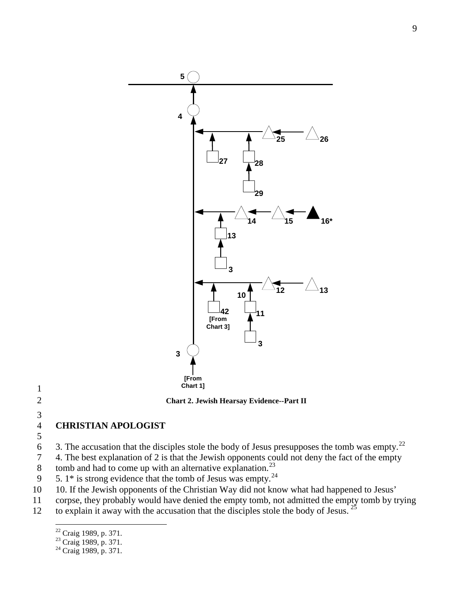

**Chart 2. Jewish Hearsay Evidence--Part II**

<span id="page-8-3"></span> $\frac{3}{4}$ 

**CHRISTIAN APOLOGIST**

6 3. The accusation that the disciples stole the body of Jesus presupposes the tomb was empty.<sup>[22](#page-8-0)</sup>

4. The best explanation of 2 is that the Jewish opponents could not deny the fact of the empty

8 tomb and had to come up with an alternative explanation.<sup>[23](#page-8-1)</sup>

9  $\,$  5. 1\* is strong evidence that the tomb of Jesus was empty.<sup>[24](#page-8-2)</sup>

- 10. If the Jewish opponents of the Christian Way did not know what had happened to Jesus'
- corpse, they probably would have denied the empty tomb, not admitted the empty tomb by trying

<span id="page-8-2"></span><span id="page-8-1"></span><span id="page-8-0"></span>12 to explain it away with the accusation that the disciples stole the body of Jesus.  $2^{\frac{25}{9}}$  $2^{\frac{25}{9}}$  $2^{\frac{25}{9}}$ 

<sup>&</sup>lt;sup>22</sup> Craig 1989, p. 371.<br><sup>23</sup> Craig 1989, p. 371.<br><sup>24</sup> Craig 1989, p. 371.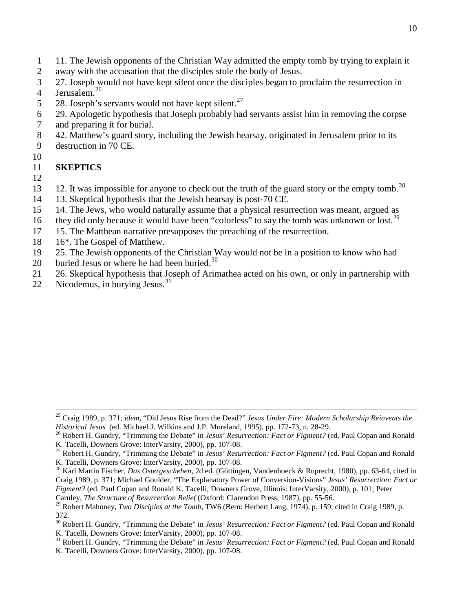- 1 11. The Jewish opponents of the Christian Way admitted the empty tomb by trying to explain it
- 2 away with the accusation that the disciples stole the body of Jesus.
- 3 27. Joseph would not have kept silent once the disciples began to proclaim the resurrection in 4 Jerusalem.<sup>[26](#page-9-0)</sup>
- 5 28. Joseph's servants would not have kept silent.<sup>[27](#page-9-1)</sup>
- 6 29. Apologetic hypothesis that Joseph probably had servants assist him in removing the corpse
- 7 and preparing it for burial.
- 8 42. Matthew's guard story, including the Jewish hearsay, originated in Jerusalem prior to its
- 9 destruction in 70 CE.
- 10

# 11 **SKEPTICS**

- 12
- 13 12. It was impossible for anyone to check out the truth of the guard story or the empty tomb.<sup>[28](#page-9-2)</sup>
- 14 13. Skeptical hypothesis that the Jewish hearsay is post-70 CE.
- 15 14. The Jews, who would naturally assume that a physical resurrection was meant, argued as
- 16 they did only because it would have been "colorless" to say the tomb was unknown or lost.<sup>[29](#page-9-3)</sup>
- 17 15. The Matthean narrative presupposes the preaching of the resurrection.
- 18 16\*. The Gospel of Matthew.
- 19 25. The Jewish opponents of the Christian Way would not be in a position to know who had
- 20 buried Jesus or where he had been buried. $30$
- 21 26. Skeptical hypothesis that Joseph of Arimathea acted on his own, or only in partnership with
- 22 Nicodemus, in burying Jesus. $31$

<span id="page-9-5"></span><sup>31</sup> Robert H. Gundry, "Trimming the Debate" in *Jesus' Resurrection: Fact or Figment?* (ed. Paul Copan and Ronald K. Tacelli, Downers Grove: InterVarsity, 2000), pp. 107-08.

 <sup>25</sup> Craig 1989, p. 371; *idem,* "Did Jesus Rise from the Dead?" *Jesus Under Fire: Modern Scholarship Reinvents the* 

<span id="page-9-0"></span><sup>&</sup>lt;sup>26</sup> Robert H. Gundry, "Trimming the Debate" in *Jesus' Resurrection: Fact or Figment?* (ed. Paul Copan and Ronald

<span id="page-9-1"></span>K. Tacelli, Downers Grove: InterVarsity, 2000), pp. 107-08.<br><sup>27</sup> Robert H. Gundry, "Trimming the Debate" in *Jesus' Resurrection: Fact or Figment?* (ed. Paul Copan and Ronald K. Tacelli, Downers Grove: InterVarsity, 2000),

<span id="page-9-2"></span><sup>&</sup>lt;sup>28</sup> Karl Martin Fischer, *Das Ostergeschehen*, 2d ed. (Göttingen, Vandenhoeck & Ruprecht, 1980), pp. 63-64, cited in Craig 1989, p. 371; Michael Goulder, "The Explanatory Power of Conversion-Visions" *Jesus' Resurrection: Fact or Figment?* (ed. Paul Copan and Ronald K. Tacelli, Downers Grove, Illinois: InterVarsity, 2000), p. 101; Peter Carnley, *The Structure of Resurrection Belief* (Oxford: Clarendon Press, 1987), pp. 55-56.

<span id="page-9-3"></span>

<sup>&</sup>lt;sup>29</sup> Robert Mahoney, *Two Disciples at the Tomb*, TW6 (Bern: Herbert Lang, 1974), p. 159, cited in Craig 1989, p. 372.

<span id="page-9-4"></span><sup>&</sup>lt;sup>30</sup> Robert H. Gundry, "Trimming the Debate" in *Jesus' Resurrection: Fact or Figment?* (ed. Paul Copan and Ronald K. Tacelli, Downers Grove: InterVarsity, 2000), pp. 107-08.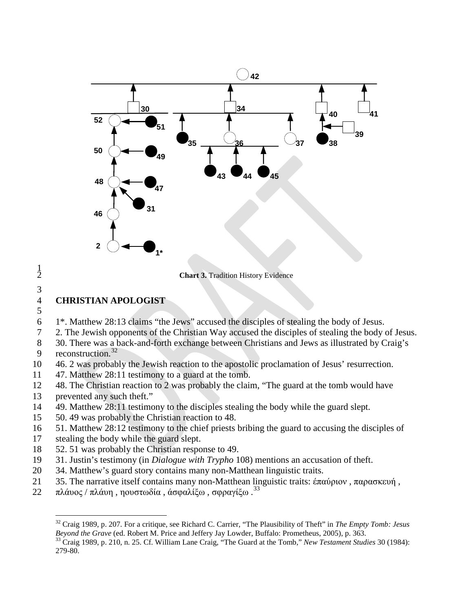

**Chart 3. Tradition History Evidence** 

## **CHRISTIAN APOLOGIST**

 $\frac{1}{2}$ 

1\*. Matthew 28:13 claims "the Jews" accused the disciples of stealing the body of Jesus.

2. The Jewish opponents of the Christian Way accused the disciples of stealing the body of Jesus.

- 30. There was a back-and-forth exchange between Christians and Jews as illustrated by Craig's 9 reconstruction.
- 46. 2 was probably the Jewish reaction to the apostolic proclamation of Jesus' resurrection.

47. Matthew 28:11 testimony to a guard at the tomb.

- 48. The Christian reaction to 2 was probably the claim, "The guard at the tomb would have prevented any such theft."
- 49. Matthew 28:11 testimony to the disciples stealing the body while the guard slept.
- 50. 49 was probably the Christian reaction to 48.
- 51. Matthew 28:12 testimony to the chief priests bribing the guard to accusing the disciples of
- stealing the body while the guard slept.
- 52. 51 was probably the Christian response to 49.
- <span id="page-10-0"></span>31. Justin's testimony (in *Dialogue with Trypho* 108) mentions an accusation of theft.
- 34. Matthew's guard story contains many non-Matthean linguistic traits.
- 35. The narrative itself contains many non-Matthean linguistic traits: έπαύριον , παρασκευή ,
- <span id="page-10-1"></span>πλάυος / πλάυη , ηουστωδία , άσφαλίξω , σφραγίξω . [33](#page-10-2)

 Craig 1989, p. 207. For a critique, see Richard C. Carrier, "The Plausibility of Theft" in *The Empty Tomb: Jesus Beyond the Grave* (ed. Robert M. Price and Jeffery Jay Lowder, Buffalo: Prometheus, 2005), p. 363.<br><sup>33</sup> Craig 1989, p. 210, n. 25. Cf. William Lane Craig, "The Guard at the Tomb," *New Testament Studies* 30 (1984):

<span id="page-10-2"></span><sup>279-80.</sup>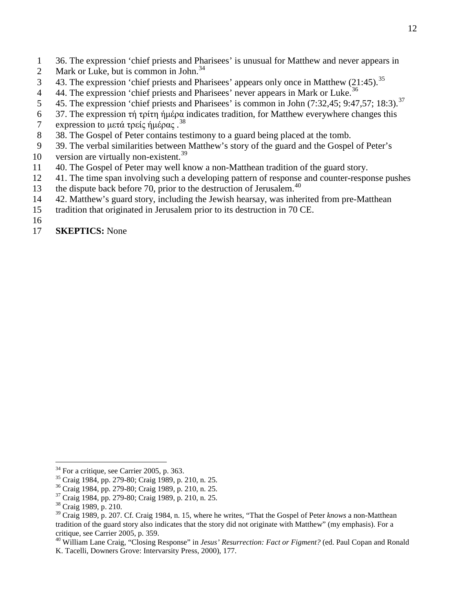- 1 36. The expression 'chief priests and Pharisees' is unusual for Matthew and never appears in
- 2 Mark or Luke, but is common in John.<sup>[34](#page-11-0)</sup>
- 43. The expression 'chief priests and Pharisees' appears only once in Matthew (21:45).<sup>[35](#page-11-1)</sup>
- 44. The expression 'chief priests and Pharisees' never appears in Mark or Luke.<sup>[36](#page-11-2)</sup>
- 5 45. The expression 'chief priests and Pharisees' is common in John  $(7:32,45; 9:47,57; 18:3)$ .<sup>[37](#page-11-3)</sup>
- 6 37. The expression τή τρίτη ήμέρα indicates tradition, for Matthew everywhere changes this
- 7 expression to μετά τρείς ήμέρας.<sup>[38](#page-11-4)</sup>
- 8 38. The Gospel of Peter contains testimony to a guard being placed at the tomb.
- 9 39. The verbal similarities between Matthew's story of the guard and the Gospel of Peter's
- 10 version are virtually non-existent.<sup>[39](#page-11-5)</sup>
- 11 40. The Gospel of Peter may well know a non-Matthean tradition of the guard story.
- 12 41. The time span involving such a developing pattern of response and counter-response pushes
- 13 the dispute back before 70, prior to the destruction of Jerusalem.<sup>[40](#page-11-6)</sup>
- 14 42. Matthew's guard story, including the Jewish hearsay, was inherited from pre-Matthean
- 15 tradition that originated in Jerusalem prior to its destruction in 70 CE.
- 16
- 17 **SKEPTICS:** None

<span id="page-11-1"></span><span id="page-11-0"></span>

<sup>&</sup>lt;sup>34</sup> For a critique, see Carrier 2005, p. 363.<br><sup>35</sup> Craig 1984, pp. 279-80; Craig 1989, p. 210, n. 25.<br><sup>36</sup> Craig 1984, pp. 279-80; Craig 1989, p. 210, n. 25.<br><sup>37</sup> Craig 1984, pp. 279-80; Craig 1989, p. 210, n. 25.<br><sup>38</sup> Cr

<span id="page-11-3"></span><span id="page-11-2"></span>

<span id="page-11-5"></span><span id="page-11-4"></span><sup>39</sup> Craig 1989, p. 207. Cf. Craig 1984, n. 15, where he writes, "That the Gospel of Peter *knows* a non-Matthean tradition of the guard story also indicates that the story did not originate with Matthew" (my emphasis). For a critique, see Carrier 2005, p. 359.

<span id="page-11-6"></span><sup>40</sup> William Lane Craig, "Closing Response" in *Jesus' Resurrection: Fact or Figment?* (ed. Paul Copan and Ronald K. Tacelli, Downers Grove: Intervarsity Press, 2000), 177.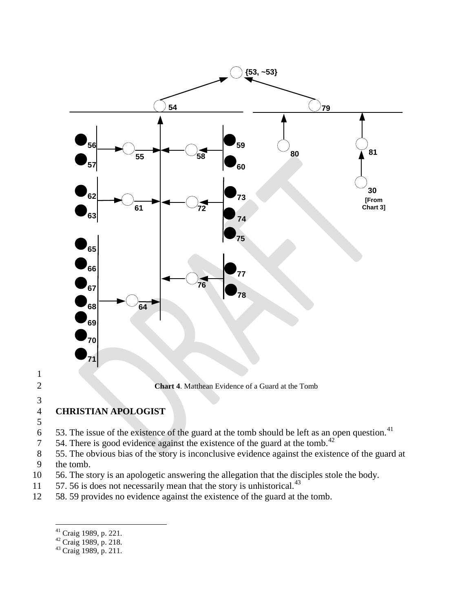

# $\frac{3}{4}$

# **CHRISTIAN APOLOGIST**

- $\frac{5}{6}$
- 53. The issue of the existence of the guard at the tomb should be left as an open question.
- 54. There is good evidence against the existence of the guard at the tomb.<sup>[42](#page-12-1)</sup>
- 55. The obvious bias of the story is inconclusive evidence against the existence of the guard at the tomb.
- 56. The story is an apologetic answering the allegation that the disciples stole the body.
- 11  $\,$  57. 56 is does not necessarily mean that the story is unhistorical.<sup>[43](#page-12-2)</sup>
- <span id="page-12-0"></span>58. 59 provides no evidence against the existence of the guard at the tomb.

<sup>&</sup>lt;sup>41</sup> Craig 1989, p. 221.<br><sup>42</sup> Craig 1989, p. 218.<br><sup>43</sup> Craig 1989, p. 211.

<span id="page-12-1"></span>

<span id="page-12-2"></span>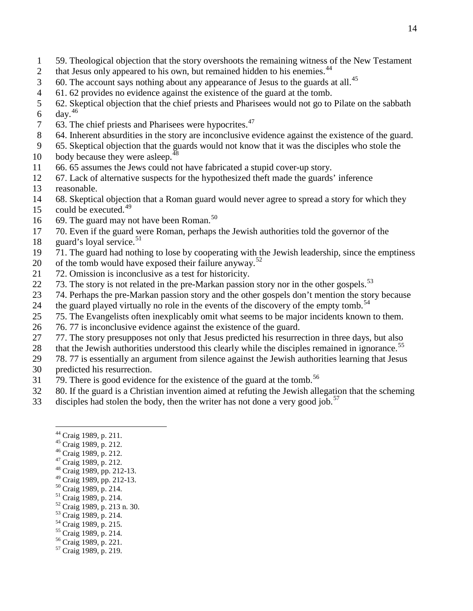- 59. Theological objection that the story overshoots the remaining witness of the New Testament
- 2 that Jesus only appeared to his own, but remained hidden to his enemies.
- 60. The account says nothing about any appearance of Jesus to the guards at all.<sup>[45](#page-13-1)</sup>
- 61. 62 provides no evidence against the existence of the guard at the tomb.
- 62. Skeptical objection that the chief priests and Pharisees would not go to Pilate on the sabbath
- 6 day.<sup>[46](#page-13-2)</sup>
- 7 63. The chief priests and Pharisees were hypocrites.
- 64. Inherent absurdities in the story are inconclusive evidence against the existence of the guard.
- 65. Skeptical objection that the guards would not know that it was the disciples who stole the
- body because they were asleep.<sup>4</sup>
- 66. 65 assumes the Jews could not have fabricated a stupid cover-up story.
- 67. Lack of alternative suspects for the hypothesized theft made the guards' inference
- reasonable.
- 68. Skeptical objection that a Roman guard would never agree to spread a story for which they
- 15 could be executed.<sup>[49](#page-13-5)</sup>
- 16 69. The guard may not have been Roman.<sup>[50](#page-13-6)</sup>
- 70. Even if the guard were Roman, perhaps the Jewish authorities told the governor of the
- 18 guard's loyal service.<sup>[51](#page-13-7)</sup>
- 71. The guard had nothing to lose by cooperating with the Jewish leadership, since the emptiness
- 20 of the tomb would have exposed their failure anyway.<sup>[52](#page-13-8)</sup>
- 72. Omission is inconclusive as a test for historicity.
- 22  $\%$  73. The story is not related in the pre-Markan passion story nor in the other gospels.<sup>[53](#page-13-9)</sup>
- 74. Perhaps the pre-Markan passion story and the other gospels don't mention the story because
- 24 the guard played virtually no role in the events of the discovery of the empty tomb.<sup>[54](#page-13-10)</sup>
- 75. The Evangelists often inexplicably omit what seems to be major incidents known to them.
- 76. 77 is inconclusive evidence against the existence of the guard.
- 27 77. The story presupposes not only that Jesus predicted his resurrection in three days, but also
- 28 that the Jewish authorities understood this clearly while the disciples remained in ignorance.<sup>[55](#page-13-11)</sup>
- 78. 77 is essentially an argument from silence against the Jewish authorities learning that Jesus
- predicted his resurrection.
- $79.$  There is good evidence for the existence of the guard at the tomb.<sup>[56](#page-13-12)</sup>
- 80. If the guard is a Christian invention aimed at refuting the Jewish allegation that the scheming
- <span id="page-13-13"></span><span id="page-13-12"></span><span id="page-13-11"></span><span id="page-13-10"></span><span id="page-13-9"></span><span id="page-13-8"></span><span id="page-13-7"></span><span id="page-13-6"></span><span id="page-13-5"></span><span id="page-13-4"></span><span id="page-13-3"></span><span id="page-13-2"></span><span id="page-13-1"></span><span id="page-13-0"></span>disciples had stolen the body, then the writer has not done a very good job.<sup>[57](#page-13-13)</sup>
	-
	-
	-
	-
	- <sup>44</sup> Craig 1989, p. 211.<br><sup>45</sup> Craig 1989, p. 212.<br><sup>46</sup> Craig 1989, p. 212.<br><sup>47</sup> Craig 1989, pp. 212-13.<br><sup>49</sup> Craig 1989, pp. 212-13.
	-
	-
	-
	- <sup>50</sup> Craig 1989, p. 214.<br><sup>51</sup> Craig 1989, p. 214.<br><sup>52</sup> Craig 1989, p. 213 n. 30.<br><sup>53</sup> Craig 1989, p. 214.<br><sup>54</sup> Craig 1989, p. 215.<br><sup>55</sup> Craig 1989, p. 214.<br><sup>56</sup> Craig 1989, p. 221.<br><sup>57</sup> Craig 1989, p. 219.
	-
	-
	-
	-
	-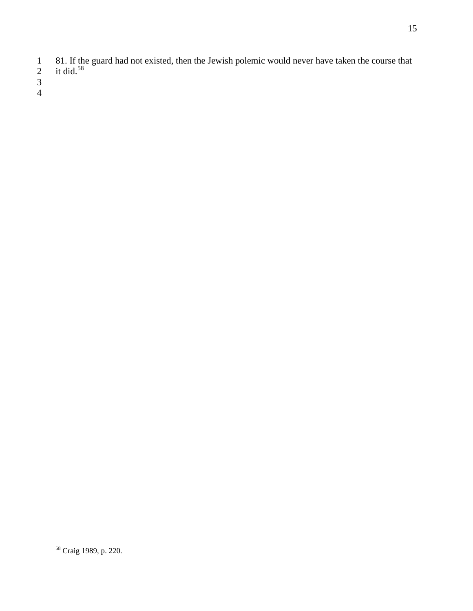- 81. If the guard had not existed, then the Jewish polemic would never have taken the course that
- 2 it did.<sup>[58](#page-14-0)</sup>
- 
- 

<span id="page-14-0"></span>Craig 1989, p. 220.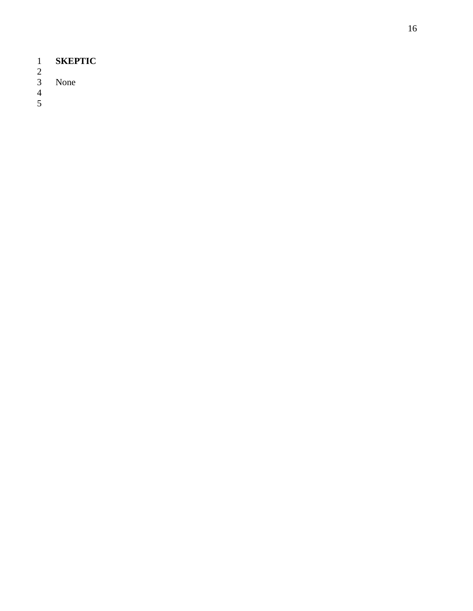- 1 **SKEPTIC**
- 
- None

 $\frac{1}{2}$ <br> $\frac{3}{4}$ <br>5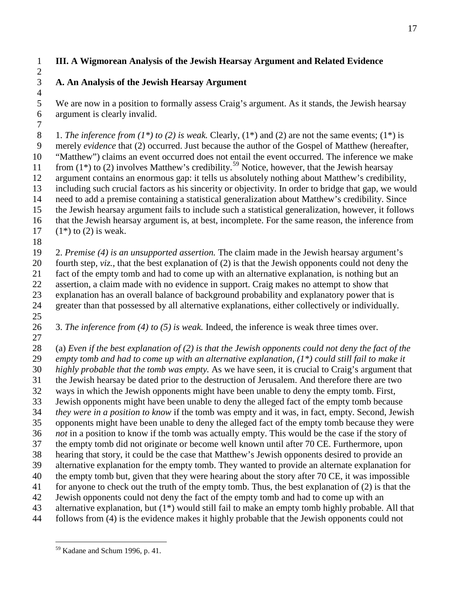## **III. A Wigmorean Analysis of the Jewish Hearsay Argument and Related Evidence**

# **A. An Analysis of the Jewish Hearsay Argument**

 $\frac{4}{5}$ We are now in a position to formally assess Craig's argument. As it stands, the Jewish hearsay argument is clearly invalid.

 1. *The inference from (1\*) to (2) is weak.* Clearly, (1\*) and (2) are not the same events; (1\*) is merely *evidence* that (2) occurred. Just because the author of the Gospel of Matthew (hereafter, "Matthew") claims an event occurred does not entail the event occurred. The inference we make 11 from  $(1^*)$  to  $(2)$  involves Matthew's credibility.<sup>[59](#page-16-0)</sup> Notice, however, that the Jewish hearsay argument contains an enormous gap: it tells us absolutely nothing about Matthew's credibility, including such crucial factors as his sincerity or objectivity. In order to bridge that gap, we would need to add a premise containing a statistical generalization about Matthew's credibility. Since the Jewish hearsay argument fails to include such a statistical generalization, however, it follows that the Jewish hearsay argument is, at best, incomplete. For the same reason, the inference from  $(1^*)$  to (2) is weak.

 2. *Premise (4) is an unsupported assertion.* The claim made in the Jewish hearsay argument's fourth step, *viz.,* that the best explanation of (2) is that the Jewish opponents could not deny the fact of the empty tomb and had to come up with an alternative explanation, is nothing but an assertion, a claim made with no evidence in support. Craig makes no attempt to show that explanation has an overall balance of background probability and explanatory power that is greater than that possessed by all alternative explanations, either collectively or individually. 

 3. *The inference from (4) to (5) is weak.* Indeed, the inference is weak three times over. 

 (a) *Even if the best explanation of (2) is that the Jewish opponents could not deny the fact of the empty tomb and had to come up with an alternative explanation, (1\*) could still fail to make it highly probable that the tomb was empty.* As we have seen, it is crucial to Craig's argument that the Jewish hearsay be dated prior to the destruction of Jerusalem. And therefore there are two ways in which the Jewish opponents might have been unable to deny the empty tomb. First, Jewish opponents might have been unable to deny the alleged fact of the empty tomb because *they were in a position to know* if the tomb was empty and it was, in fact, empty. Second, Jewish opponents might have been unable to deny the alleged fact of the empty tomb because they were *not* in a position to know if the tomb was actually empty. This would be the case if the story of the empty tomb did not originate or become well known until after 70 CE. Furthermore, upon hearing that story, it could be the case that Matthew's Jewish opponents desired to provide an alternative explanation for the empty tomb. They wanted to provide an alternate explanation for the empty tomb but, given that they were hearing about the story after 70 CE, it was impossible for anyone to check out the truth of the empty tomb. Thus, the best explanation of (2) is that the Jewish opponents could not deny the fact of the empty tomb and had to come up with an alternative explanation, but (1\*) would still fail to make an empty tomb highly probable. All that follows from (4) is the evidence makes it highly probable that the Jewish opponents could not

<span id="page-16-0"></span>Kadane and Schum 1996, p. 41.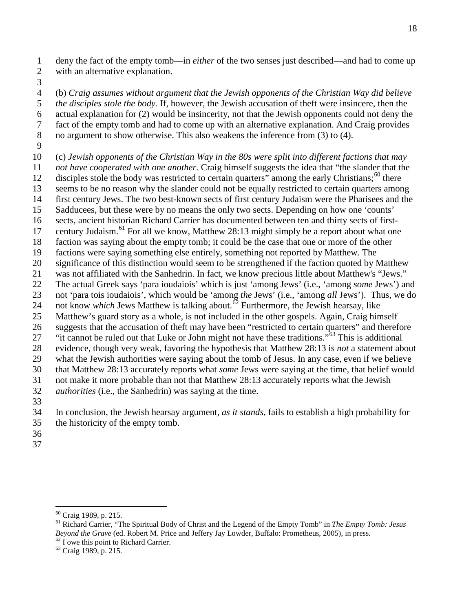deny the fact of the empty tomb—in *either* of the two senses just described—and had to come up with an alternative explanation.

 (b) *Craig assumes without argument that the Jewish opponents of the Christian Way did believe the disciples stole the body.* If, however, the Jewish accusation of theft were insincere, then the actual explanation for (2) would be insincerity, not that the Jewish opponents could not deny the fact of the empty tomb and had to come up with an alternative explanation. And Craig provides no argument to show otherwise. This also weakens the inference from (3) to (4).

 (c) *Jewish opponents of the Christian Way in the 80s were split into different factions that may not have cooperated with one another.* Craig himself suggests the idea that "the slander that the

- 12 disciples stole the body was restricted to certain quarters" among the early Christians;<sup>[60](#page-17-0)</sup> there
- seems to be no reason why the slander could not be equally restricted to certain quarters among
- first century Jews. The two best-known sects of first century Judaism were the Pharisees and the
- Sadducees, but these were by no means the only two sects. Depending on how one 'counts'
- sects, ancient historian Richard Carrier has documented between ten and thirty sects of first-
- 17 century Judaism.<sup>[61](#page-17-1)</sup> For all we know, Matthew 28:13 might simply be a report about what one
- faction was saying about the empty tomb; it could be the case that one or more of the other
- factions were saying something else entirely, something not reported by Matthew. The
- significance of this distinction would seem to be strengthened if the faction quoted by Matthew
- was not affiliated with the Sanhedrin. In fact, we know precious little about Matthew's "Jews."
- The actual Greek says 'para ioudaiois' which is just 'among Jews' (i.e., 'among *some* Jews') and
- not 'para tois ioudaiois', which would be 'among *the* Jews' (i.e., 'among *all* Jews'). Thus, we do 24 not know *which* Jews Matthew is talking about.<sup> $\delta^2$ </sup> Furthermore, the Jewish hearsay, like
- Matthew's guard story as a whole, is not included in the other gospels. Again, Craig himself
- suggests that the accusation of theft may have been "restricted to certain quarters" and therefore
- <sup>27</sup> "it cannot be ruled out that Luke or John might not have these traditions."<sup>[63](#page-17-3)</sup> This is additional
- evidence, though very weak, favoring the hypothesis that Matthew 28:13 is *not* a statement about
- what the Jewish authorities were saying about the tomb of Jesus. In any case, even if we believe
- that Matthew 28:13 accurately reports what *some* Jews were saying at the time, that belief would
- not make it more probable than not that Matthew 28:13 accurately reports what the Jewish *authorities* (i.e., the Sanhedrin) was saying at the time.
- 
- In conclusion, the Jewish hearsay argument, *as it stands,* fails to establish a high probability for the historicity of the empty tomb.
- 
- 

<span id="page-17-1"></span><span id="page-17-0"></span> Craig 1989, p. 215. <sup>61</sup> Richard Carrier, "The Spiritual Body of Christ and the Legend of the Empty Tomb" in *The Empty Tomb: Jesus Beyond the Grave* (ed. Robert M. Price and Jeffery Jay Lowder, Buffalo: Prometheus, 2005), in press. <sup>62</sup> I owe this point to Richard Carrier. <sup>63</sup> Craig 1989, p. 215.

<span id="page-17-2"></span>

<span id="page-17-3"></span>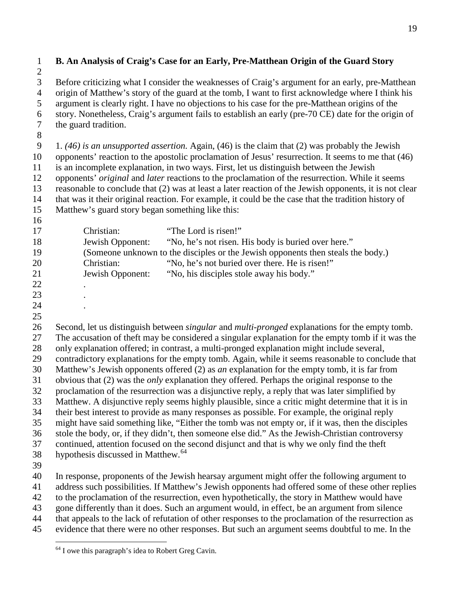| $\mathbf{1}$<br>$\overline{2}$ | B. An Analysis of Craig's Case for an Early, Pre-Matthean Origin of the Guard Story                                                                                                                   |  |  |
|--------------------------------|-------------------------------------------------------------------------------------------------------------------------------------------------------------------------------------------------------|--|--|
| 3<br>$\overline{4}$            | Before criticizing what I consider the weaknesses of Craig's argument for an early, pre-Matthean<br>origin of Matthew's story of the guard at the tomb, I want to first acknowledge where I think his |  |  |
| 5                              | argument is clearly right. I have no objections to his case for the pre-Matthean origins of the                                                                                                       |  |  |
| 6                              | story. Nonetheless, Craig's argument fails to establish an early (pre-70 CE) date for the origin of                                                                                                   |  |  |
| $\overline{7}$                 | the guard tradition.                                                                                                                                                                                  |  |  |
| $8\,$                          |                                                                                                                                                                                                       |  |  |
| 9                              | 1. (46) is an unsupported assertion. Again, (46) is the claim that (2) was probably the Jewish                                                                                                        |  |  |
| 10<br>11                       | opponents' reaction to the apostolic proclamation of Jesus' resurrection. It seems to me that (46)<br>is an incomplete explanation, in two ways. First, let us distinguish between the Jewish         |  |  |
| 12                             | opponents' original and later reactions to the proclamation of the resurrection. While it seems                                                                                                       |  |  |
| 13                             | reasonable to conclude that (2) was at least a later reaction of the Jewish opponents, it is not clear                                                                                                |  |  |
| 14                             | that was it their original reaction. For example, it could be the case that the tradition history of                                                                                                  |  |  |
| 15<br>16                       | Matthew's guard story began something like this:                                                                                                                                                      |  |  |
| 17                             | Christian:<br>"The Lord is risen!"                                                                                                                                                                    |  |  |
| 18                             | Jewish Opponent:<br>"No, he's not risen. His body is buried over here."                                                                                                                               |  |  |
| 19                             | (Someone unknown to the disciples or the Jewish opponents then steals the body.)                                                                                                                      |  |  |
| 20                             | "No, he's not buried over there. He is risen!"<br>Christian:                                                                                                                                          |  |  |
| 21                             | Jewish Opponent:<br>"No, his disciples stole away his body."                                                                                                                                          |  |  |
| 22                             |                                                                                                                                                                                                       |  |  |
| 23                             |                                                                                                                                                                                                       |  |  |
| 24                             |                                                                                                                                                                                                       |  |  |
| 25                             |                                                                                                                                                                                                       |  |  |
| 26                             | Second, let us distinguish between <i>singular</i> and <i>multi-pronged</i> explanations for the empty tomb.                                                                                          |  |  |
| 27                             | The accusation of theft may be considered a singular explanation for the empty tomb if it was the                                                                                                     |  |  |
| 28<br>29                       | only explanation offered; in contrast, a multi-pronged explanation might include several,                                                                                                             |  |  |
| 30                             | contradictory explanations for the empty tomb. Again, while it seems reasonable to conclude that<br>Matthew's Jewish opponents offered (2) as an explanation for the empty tomb, it is far from       |  |  |
| 31                             | obvious that (2) was the <i>only</i> explanation they offered. Perhaps the original response to the                                                                                                   |  |  |
| 32                             | proclamation of the resurrection was a disjunctive reply, a reply that was later simplified by                                                                                                        |  |  |
| 33                             | Matthew. A disjunctive reply seems highly plausible, since a critic might determine that it is in                                                                                                     |  |  |
| 34                             | their best interest to provide as many responses as possible. For example, the original reply                                                                                                         |  |  |
| 35                             | might have said something like, "Either the tomb was not empty or, if it was, then the disciples                                                                                                      |  |  |
| 36                             | stole the body, or, if they didn't, then someone else did." As the Jewish-Christian controversy                                                                                                       |  |  |
| 37                             | continued, attention focused on the second disjunct and that is why we only find the theft                                                                                                            |  |  |
| 38                             | hypothesis discussed in Matthew. <sup>64</sup>                                                                                                                                                        |  |  |
| 39                             |                                                                                                                                                                                                       |  |  |
| 40                             | In response, proponents of the Jewish hearsay argument might offer the following argument to                                                                                                          |  |  |
| 41                             | address such possibilities. If Matthew's Jewish opponents had offered some of these other replies                                                                                                     |  |  |
| 42<br>43                       | to the proclamation of the resurrection, even hypothetically, the story in Matthew would have<br>gone differently than it does. Such an argument would, in effect, be an argument from silence        |  |  |
|                                |                                                                                                                                                                                                       |  |  |

that appeals to the lack of refutation of other responses to the proclamation of the resurrection as

<span id="page-18-0"></span>evidence that there were no other responses. But such an argument seems doubtful to me. In the

 $\frac{64}{64}$  I owe this paragraph's idea to Robert Greg Cavin.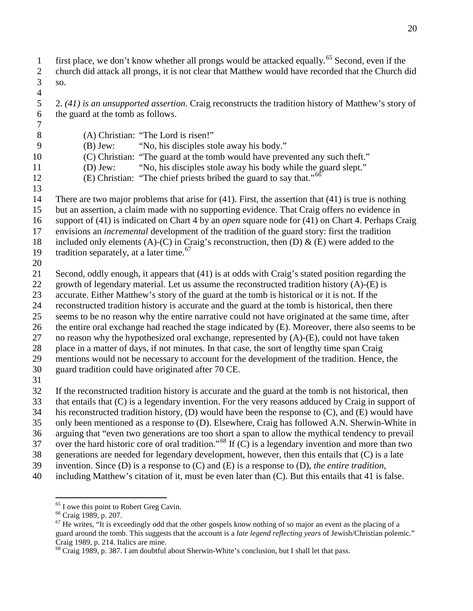- first place, we don't know whether all prongs would be attacked equally.<sup>[65](#page-19-0)</sup> Second, even if the church did attack all prongs, it is not clear that Matthew would have recorded that the Church did
- so.
- 2. *(41) is an unsupported assertion.* Craig reconstructs the tradition history of Matthew's story of the guard at the tomb as follows.
- (A) Christian: "The Lord is risen!"
- (B) Jew: "No, his disciples stole away his body." (C) Christian: "The guard at the tomb would have prevented any such theft." (D) Jew: "No, his disciples stole away his body while the guard slept."
- (E) Christian: "The chief priests bribed the guard to say that."
- There are two major problems that arise for (41). First, the assertion that (41) is true is nothing but an assertion, a claim made with no supporting evidence. That Craig offers no evidence in support of (41) is indicated on Chart 4 by an *open* square node for (41) on Chart 4. Perhaps Craig envisions an *incremental* development of the tradition of the guard story: first the tradition
- 18 included only elements (A)-(C) in Craig's reconstruction, then (D)  $\&$  (E) were added to the 19 tradition separately, at a later time.<sup>[67](#page-19-2)</sup>
- 
- Second, oddly enough, it appears that (41) is at odds with Craig's stated position regarding the
- 22 growth of legendary material. Let us assume the reconstructed tradition history  $(A)$ - $(E)$  is
- accurate. Either Matthew's story of the guard at the tomb is historical or it is not. If the
- reconstructed tradition history is accurate and the guard at the tomb is historical, then there
- seems to be no reason why the entire narrative could not have originated at the same time, after
- the entire oral exchange had reached the stage indicated by (E). Moreover, there also seems to be 27 no reason why the hypothesized oral exchange, represented by  $(A)$ - $(E)$ , could not have taken
- place in a matter of days, if not minutes. In that case, the sort of lengthy time span Craig
- mentions would not be necessary to account for the development of the tradition. Hence, the
- guard tradition could have originated after 70 CE.
- 
- If the reconstructed tradition history is accurate and the guard at the tomb is not historical, then
- that entails that (C) is a legendary invention. For the very reasons adduced by Craig in support of
- his reconstructed tradition history, (D) would have been the response to (C), and (E) would have
- only been mentioned as a response to (D). Elsewhere, Craig has followed A.N. Sherwin-White in
- arguing that "even two generations are too short a span to allow the mythical tendency to prevail
- 37 over the hard historic core of oral tradition."<sup>[68](#page-19-3)</sup> If (C) is a legendary invention and more than two
- generations are needed for legendary development, however, then this entails that (C) is a late
- invention. Since (D) is a response to (C) and (E) is a response to (D), *the entire tradition*,
- <span id="page-19-1"></span><span id="page-19-0"></span>including Matthew's citation of it, must be even later than (C). But this entails that 41 is false.

<span id="page-19-2"></span>

<sup>&</sup>lt;sup>65</sup> I owe this point to Robert Greg Cavin.<br><sup>66</sup> Craig 1989, p. 207.<br><sup>67</sup> He writes, "It is exceedingly odd that the other gospels know nothing of so major an event as the placing of a guard around the tomb. This suggests that the account is a *late legend reflecting years* of Jewish/Christian polemic." Craig 1989, p. 214. Italics are mine.

<span id="page-19-3"></span><sup>&</sup>lt;sup>68</sup> Craig 1989, p. 387. I am doubtful about Sherwin-White's conclusion, but I shall let that pass.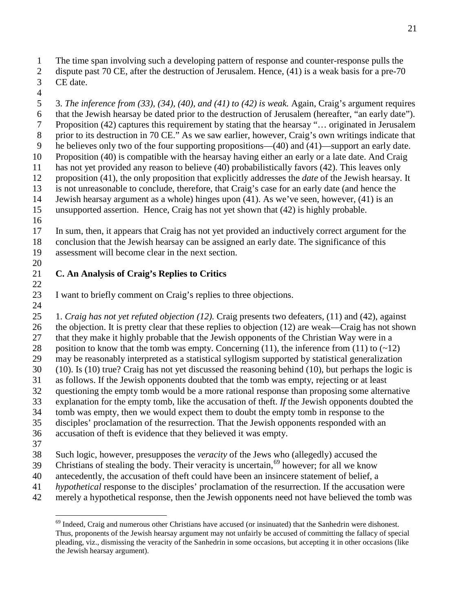- The time span involving such a developing pattern of response and counter-response pulls the
- dispute past 70 CE, after the destruction of Jerusalem. Hence, (41) is a weak basis for a pre-70 CE date.
- 

 3. *The inference from (33), (34), (40), and (41) to (42) is weak.* Again, Craig's argument requires that the Jewish hearsay be dated prior to the destruction of Jerusalem (hereafter, "an early date"). Proposition (42) captures this requirement by stating that the hearsay "… originated in Jerusalem 8 prior to its destruction in 70 CE." As we saw earlier, however, Craig's own writings indicate that he believes only two of the four supporting propositions—(40) and (41)—support an early date. Proposition (40) is compatible with the hearsay having either an early or a late date. And Craig has not yet provided any reason to believe (40) probabilistically favors (42). This leaves only proposition (41), the only proposition that explicitly addresses the *date* of the Jewish hearsay. It is not unreasonable to conclude, therefore, that Craig's case for an early date (and hence the Jewish hearsay argument as a whole) hinges upon (41). As we've seen, however, (41) is an unsupported assertion. Hence, Craig has not yet shown that (42) is highly probable.

 In sum, then, it appears that Craig has not yet provided an inductively correct argument for the conclusion that the Jewish hearsay can be assigned an early date. The significance of this assessment will become clear in the next section. 

#### **C. An Analysis of Craig's Replies to Critics**

I want to briefly comment on Craig's replies to three objections.

 1. *Craig has not yet refuted objection (12).* Craig presents two defeaters, (11) and (42), against the objection. It is pretty clear that these replies to objection (12) are weak—Craig has not shown that they make it highly probable that the Jewish opponents of the Christian Way were in a 28 position to know that the tomb was empty. Concerning (11), the inference from (11) to  $(\sim 12)$  may be reasonably interpreted as a statistical syllogism supported by statistical generalization (10). Is (10) true? Craig has not yet discussed the reasoning behind (10), but perhaps the logic is as follows. If the Jewish opponents doubted that the tomb was empty, rejecting or at least questioning the empty tomb would be a more rational response than proposing some alternative explanation for the empty tomb, like the accusation of theft. *If* the Jewish opponents doubted the tomb was empty, then we would expect them to doubt the empty tomb in response to the disciples' proclamation of the resurrection. That the Jewish opponents responded with an accusation of theft is evidence that they believed it was empty. 

- Such logic, however, presupposes the *veracity* of the Jews who (allegedly) accused the
- 39 Christians of stealing the body. Their veracity is uncertain, however; for all we know
- antecedently, the accusation of theft could have been an insincere statement of belief, a
- *hypothetical* response to the disciples' proclamation of the resurrection. If the accusation were
- <span id="page-20-0"></span>merely a hypothetical response, then the Jewish opponents need not have believed the tomb was

<sup>&</sup>lt;sup>69</sup> Indeed, Craig and numerous other Christians have accused (or insinuated) that the Sanhedrin were dishonest. Thus, proponents of the Jewish hearsay argument may not unfairly be accused of committing the fallacy of special pleading, viz., dismissing the veracity of the Sanhedrin in some occasions, but accepting it in other occasions (like the Jewish hearsay argument).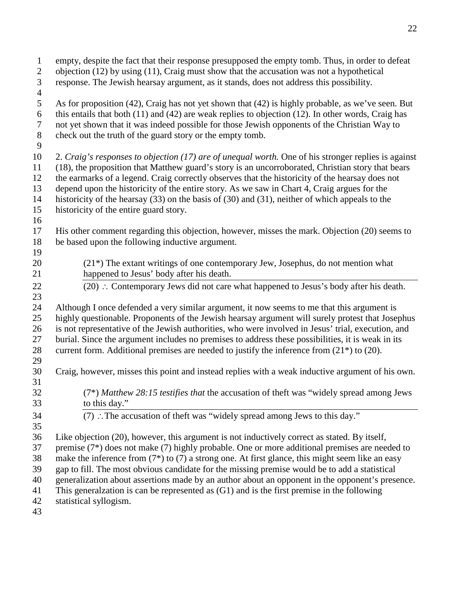| $\mathbf{1}$<br>$\overline{2}$<br>$\overline{3}$<br>$\overline{4}$ | empty, despite the fact that their response presupposed the empty tomb. Thus, in order to defeat<br>objection $(12)$ by using $(11)$ , Craig must show that the accusation was not a hypothetical<br>response. The Jewish hearsay argument, as it stands, does not address this possibility.                                                                                |  |  |
|--------------------------------------------------------------------|-----------------------------------------------------------------------------------------------------------------------------------------------------------------------------------------------------------------------------------------------------------------------------------------------------------------------------------------------------------------------------|--|--|
| $\mathfrak s$<br>$\sqrt{6}$<br>$\boldsymbol{7}$<br>$8\,$<br>9      | As for proposition (42), Craig has not yet shown that (42) is highly probable, as we've seen. But<br>this entails that both $(11)$ and $(42)$ are weak replies to objection $(12)$ . In other words, Craig has<br>not yet shown that it was indeed possible for those Jewish opponents of the Christian Way to<br>check out the truth of the guard story or the empty tomb. |  |  |
| 10                                                                 | 2. Craig's responses to objection (17) are of unequal worth. One of his stronger replies is against                                                                                                                                                                                                                                                                         |  |  |
| 11                                                                 | (18), the proposition that Matthew guard's story is an uncorroborated, Christian story that bears                                                                                                                                                                                                                                                                           |  |  |
| 12                                                                 | the earmarks of a legend. Craig correctly observes that the historicity of the hearsay does not                                                                                                                                                                                                                                                                             |  |  |
| 13                                                                 | depend upon the historicity of the entire story. As we saw in Chart 4, Craig argues for the                                                                                                                                                                                                                                                                                 |  |  |
| 14                                                                 | historicity of the hearsay $(33)$ on the basis of $(30)$ and $(31)$ , neither of which appeals to the                                                                                                                                                                                                                                                                       |  |  |
| 15                                                                 | historicity of the entire guard story.                                                                                                                                                                                                                                                                                                                                      |  |  |
| 16                                                                 |                                                                                                                                                                                                                                                                                                                                                                             |  |  |
| 17                                                                 | His other comment regarding this objection, however, misses the mark. Objection (20) seems to                                                                                                                                                                                                                                                                               |  |  |
| 18                                                                 | be based upon the following inductive argument.                                                                                                                                                                                                                                                                                                                             |  |  |
| 19                                                                 |                                                                                                                                                                                                                                                                                                                                                                             |  |  |
| 20                                                                 | $(21*)$ The extant writings of one contemporary Jew, Josephus, do not mention what                                                                                                                                                                                                                                                                                          |  |  |
| 21                                                                 | happened to Jesus' body after his death.                                                                                                                                                                                                                                                                                                                                    |  |  |
| 22                                                                 | $(20)$ : Contemporary Jews did not care what happened to Jesus's body after his death.                                                                                                                                                                                                                                                                                      |  |  |
| 23                                                                 |                                                                                                                                                                                                                                                                                                                                                                             |  |  |
| 24                                                                 | Although I once defended a very similar argument, it now seems to me that this argument is                                                                                                                                                                                                                                                                                  |  |  |
| 25                                                                 | highly questionable. Proponents of the Jewish hearsay argument will surely protest that Josephus                                                                                                                                                                                                                                                                            |  |  |
| 26                                                                 | is not representative of the Jewish authorities, who were involved in Jesus' trial, execution, and                                                                                                                                                                                                                                                                          |  |  |
| 27                                                                 | burial. Since the argument includes no premises to address these possibilities, it is weak in its                                                                                                                                                                                                                                                                           |  |  |
| 28                                                                 | current form. Additional premises are needed to justify the inference from (21 <sup>*</sup> ) to (20).                                                                                                                                                                                                                                                                      |  |  |
| 29                                                                 |                                                                                                                                                                                                                                                                                                                                                                             |  |  |
| 30                                                                 | Craig, however, misses this point and instead replies with a weak inductive argument of his own.                                                                                                                                                                                                                                                                            |  |  |
| 31                                                                 |                                                                                                                                                                                                                                                                                                                                                                             |  |  |
| 32                                                                 | (7*) Matthew 28:15 testifies that the accusation of theft was "widely spread among Jews                                                                                                                                                                                                                                                                                     |  |  |
| 33                                                                 | to this day."                                                                                                                                                                                                                                                                                                                                                               |  |  |
| 34                                                                 | (7) : The accusation of theft was "widely spread among Jews to this day."                                                                                                                                                                                                                                                                                                   |  |  |
| 35                                                                 |                                                                                                                                                                                                                                                                                                                                                                             |  |  |
| 36                                                                 | Like objection (20), however, this argument is not inductively correct as stated. By itself,                                                                                                                                                                                                                                                                                |  |  |
| 37                                                                 | premise $(7^*)$ does not make $(7)$ highly probable. One or more additional premises are needed to                                                                                                                                                                                                                                                                          |  |  |
| 38                                                                 | make the inference from $(7^*)$ to $(7)$ a strong one. At first glance, this might seem like an easy                                                                                                                                                                                                                                                                        |  |  |
| 39                                                                 | gap to fill. The most obvious candidate for the missing premise would be to add a statistical                                                                                                                                                                                                                                                                               |  |  |
| 40                                                                 | generalization about assertions made by an author about an opponent in the opponent's presence.                                                                                                                                                                                                                                                                             |  |  |
| 41                                                                 | This generalization is can be represented as $(G1)$ and is the first premise in the following                                                                                                                                                                                                                                                                               |  |  |
| 42                                                                 | statistical syllogism.                                                                                                                                                                                                                                                                                                                                                      |  |  |
| 43                                                                 |                                                                                                                                                                                                                                                                                                                                                                             |  |  |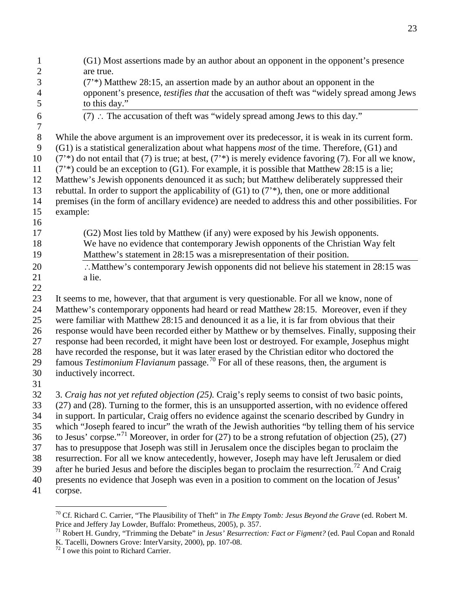| $\mathbf 1$    | (G1) Most assertions made by an author about an opponent in the opponent's presence                                                                                                                       |
|----------------|-----------------------------------------------------------------------------------------------------------------------------------------------------------------------------------------------------------|
| $\overline{c}$ | are true.                                                                                                                                                                                                 |
| 3              | $(7^*)$ Matthew 28:15, an assertion made by an author about an opponent in the                                                                                                                            |
| $\overline{4}$ | opponent's presence, testifies that the accusation of theft was "widely spread among Jews                                                                                                                 |
| 5              | to this day."                                                                                                                                                                                             |
| 6              | (7) : The accusation of theft was "widely spread among Jews to this day."                                                                                                                                 |
| $\tau$         |                                                                                                                                                                                                           |
| $\,8\,$        | While the above argument is an improvement over its predecessor, it is weak in its current form.                                                                                                          |
| 9              | (G1) is a statistical generalization about what happens <i>most</i> of the time. Therefore, (G1) and                                                                                                      |
| 10             | $(7^*)$ do not entail that (7) is true; at best, $(7^*)$ is merely evidence favoring (7). For all we know,                                                                                                |
| 11             | $(7^*)$ could be an exception to (G1). For example, it is possible that Matthew 28:15 is a lie;                                                                                                           |
| 12             | Matthew's Jewish opponents denounced it as such; but Matthew deliberately suppressed their                                                                                                                |
| 13             | rebuttal. In order to support the applicability of $(G1)$ to $(7^*)$ , then, one or more additional                                                                                                       |
| 14             | premises (in the form of ancillary evidence) are needed to address this and other possibilities. For                                                                                                      |
| 15<br>16       | example:                                                                                                                                                                                                  |
| 17             | (G2) Most lies told by Matthew (if any) were exposed by his Jewish opponents.                                                                                                                             |
| 18             | We have no evidence that contemporary Jewish opponents of the Christian Way felt                                                                                                                          |
| 19             | Matthew's statement in 28:15 was a misrepresentation of their position.                                                                                                                                   |
| 20             | :. Matthew's contemporary Jewish opponents did not believe his statement in 28:15 was                                                                                                                     |
| 21             | a lie.                                                                                                                                                                                                    |
| 22             |                                                                                                                                                                                                           |
| 23             | It seems to me, however, that that argument is very questionable. For all we know, none of                                                                                                                |
| 24             | Matthew's contemporary opponents had heard or read Matthew 28:15. Moreover, even if they                                                                                                                  |
| 25             | were familiar with Matthew 28:15 and denounced it as a lie, it is far from obvious that their                                                                                                             |
| 26             | response would have been recorded either by Matthew or by themselves. Finally, supposing their                                                                                                            |
| $27\,$         | response had been recorded, it might have been lost or destroyed. For example, Josephus might                                                                                                             |
| 28             | have recorded the response, but it was later erased by the Christian editor who doctored the                                                                                                              |
| 29             | famous Testimonium Flavianum passage. <sup>70</sup> For all of these reasons, then, the argument is                                                                                                       |
| 30             | inductively incorrect.                                                                                                                                                                                    |
| 31             |                                                                                                                                                                                                           |
| 32             | 3. Craig has not yet refuted objection (25). Craig's reply seems to consist of two basic points,                                                                                                          |
| 33             | (27) and (28). Turning to the former, this is an unsupported assertion, with no evidence offered                                                                                                          |
| 34             | in support. In particular, Craig offers no evidence against the scenario described by Gundry in                                                                                                           |
| 35             | which "Joseph feared to incur" the wrath of the Jewish authorities "by telling them of his service                                                                                                        |
| 36             | to Jesus' corpse." <sup>71</sup> Moreover, in order for $(27)$ to be a strong refutation of objection $(25)$ , $(27)$                                                                                     |
| 37             | has to presuppose that Joseph was still in Jerusalem once the disciples began to proclaim the                                                                                                             |
| 38             | resurrection. For all we know antecedently, however, Joseph may have left Jerusalem or died<br>after he buried Jesus and before the disciples began to proclaim the resurrection. <sup>72</sup> And Craig |
| 39<br>40       | presents no evidence that Joseph was even in a position to comment on the location of Jesus'                                                                                                              |
| 41             | corpse.                                                                                                                                                                                                   |
|                |                                                                                                                                                                                                           |

Cf. Richard C. Carrier, "The Plausibility of Theft" in *The Empty Tomb: Jesus Beyond the Grave* (ed. Robert M.

<span id="page-22-1"></span><span id="page-22-0"></span>Price and Jeffery Jay Lowder, Buffalo: Prometheus, 2005), p. 357.<br><sup>71</sup> Robert H. Gundry, "Trimming the Debate" in *Jesus' Resurrection: Fact or Figment?* (ed. Paul Copan and Ronald K. Tacelli, Downers Grove: InterVarsity, 2000), pp. 107-08.<br><sup>72</sup> I owe this point to Richard Carrier.

<span id="page-22-2"></span>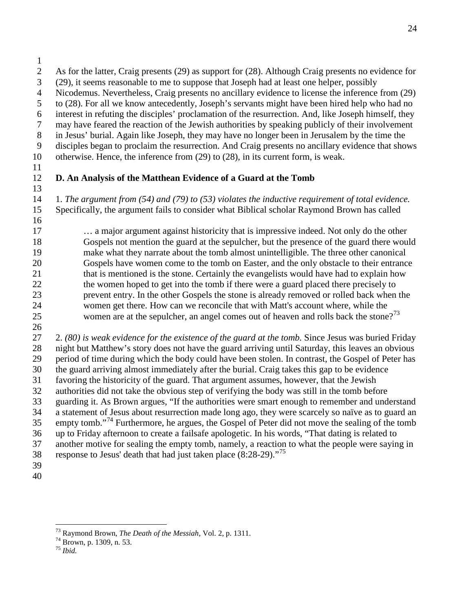- (29), it seems reasonable to me to suppose that Joseph had at least one helper, possibly
- Nicodemus. Nevertheless, Craig presents no ancillary evidence to license the inference from (29)
- to (28). For all we know antecedently, Joseph's servants might have been hired help who had no
- interest in refuting the disciples' proclamation of the resurrection. And, like Joseph himself, they
- may have feared the reaction of the Jewish authorities by speaking publicly of their involvement
- in Jesus' burial. Again like Joseph, they may have no longer been in Jerusalem by the time the
- disciples began to proclaim the resurrection. And Craig presents no ancillary evidence that shows otherwise. Hence, the inference from (29) to (28), in its current form, is weak.
- 

# **D. An Analysis of the Matthean Evidence of a Guard at the Tomb**

 1. *The argument from (54) and (79) to (53) violates the inductive requirement of total evidence.* Specifically, the argument fails to consider what Biblical scholar Raymond Brown has called 

 … a major argument against historicity that is impressive indeed. Not only do the other Gospels not mention the guard at the sepulcher, but the presence of the guard there would make what they narrate about the tomb almost unintelligible. The three other canonical Gospels have women come to the tomb on Easter, and the only obstacle to their entrance 21 that is mentioned is the stone. Certainly the evangelists would have had to explain how 22 the women hoped to get into the tomb if there were a guard placed there precisely to prevent entry. In the other Gospels the stone is already removed or rolled back when the women get there. How can we reconcile that with Matt's account where, while the 25 women are at the sepulcher, an angel comes out of heaven and rolls back the stone?<sup>[73](#page-23-0)</sup>

 2. *(80) is weak evidence for the existence of the guard at the tomb.* Since Jesus was buried Friday night but Matthew's story does not have the guard arriving until Saturday, this leaves an obvious period of time during which the body could have been stolen. In contrast, the Gospel of Peter has the guard arriving almost immediately after the burial. Craig takes this gap to be evidence favoring the historicity of the guard. That argument assumes, however, that the Jewish authorities did not take the obvious step of verifying the body was still in the tomb before guarding it. As Brown argues, "If the authorities were smart enough to remember and understand a statement of Jesus about resurrection made long ago, they were scarcely so naïve as to guard an empty tomb."<sup>[74](#page-23-1)</sup> Furthermore, he argues, the Gospel of Peter did not move the sealing of the tomb up to Friday afternoon to create a failsafe apologetic. In his words, "That dating is related to another motive for sealing the empty tomb, namely, a reaction to what the people were saying in 38 response to Jesus' death that had just taken place  $(8:28-29)$ ."<sup>[75](#page-23-2)</sup>

<span id="page-23-0"></span>Raymond Brown, *The Death of the Messiah,* Vol. 2, p. 1311. <sup>74</sup> Brown, p. 1309, n. 53. <sup>75</sup> *Ibid.*

<span id="page-23-2"></span><span id="page-23-1"></span>